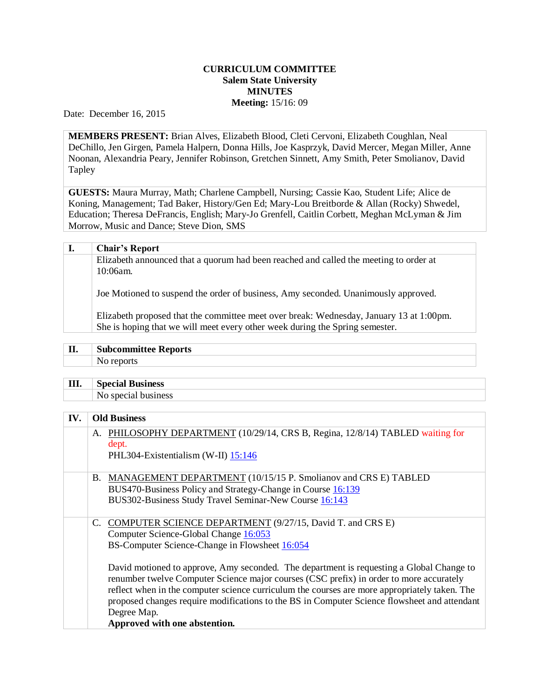## **CURRICULUM COMMITTEE Salem State University MINUTES Meeting:** 15/16: 09

Date: December 16, 2015

**MEMBERS PRESENT:** Brian Alves, Elizabeth Blood, Cleti Cervoni, Elizabeth Coughlan, Neal DeChillo, Jen Girgen, Pamela Halpern, Donna Hills, Joe Kasprzyk, David Mercer, Megan Miller, Anne Noonan, Alexandria Peary, Jennifer Robinson, Gretchen Sinnett, Amy Smith, Peter Smolianov, David Tapley

**GUESTS:** Maura Murray, Math; Charlene Campbell, Nursing; Cassie Kao, Student Life; Alice de Koning, Management; Tad Baker, History/Gen Ed; Mary-Lou Breitborde & Allan (Rocky) Shwedel, Education; Theresa DeFrancis, English; Mary-Jo Grenfell, Caitlin Corbett, Meghan McLyman & Jim Morrow, Music and Dance; Steve Dion, SMS

| ı. | <b>Chair's Report</b>                                                                                                                                                   |
|----|-------------------------------------------------------------------------------------------------------------------------------------------------------------------------|
|    | Elizabeth announced that a quorum had been reached and called the meeting to order at<br>$10:06am$ .                                                                    |
|    | Joe Motioned to suspend the order of business, Amy seconded. Unanimously approved.                                                                                      |
|    | Elizabeth proposed that the committee meet over break: Wednesday, January 13 at 1:00pm.<br>She is hoping that we will meet every other week during the Spring semester. |

| тт<br>щ, | -<br><u>. ບ</u><br>ports |
|----------|--------------------------|
|          |                          |

| Ш<br>$\sim$ | ----- |
|-------------|-------|
|             |       |

## **IV. Old Business**

|  | A. PHILOSOPHY DEPARTMENT (10/29/14, CRS B, Regina, 12/8/14) TABLED waiting for<br>dept.<br>PHL304-Existentialism (W-II) 15:146                                                                                                                                                                                                                                                                                                                                                                                                                                                                  |
|--|-------------------------------------------------------------------------------------------------------------------------------------------------------------------------------------------------------------------------------------------------------------------------------------------------------------------------------------------------------------------------------------------------------------------------------------------------------------------------------------------------------------------------------------------------------------------------------------------------|
|  | B. MANAGEMENT DEPARTMENT (10/15/15 P. Smolianov and CRS E) TABLED<br>BUS470-Business Policy and Strategy-Change in Course 16:139<br>BUS302-Business Study Travel Seminar-New Course 16:143                                                                                                                                                                                                                                                                                                                                                                                                      |
|  | C. COMPUTER SCIENCE DEPARTMENT (9/27/15, David T. and CRS E)<br>Computer Science-Global Change 16:053<br>BS-Computer Science-Change in Flowsheet 16:054<br>David motioned to approve, Amy seconded. The department is requesting a Global Change to<br>renumber twelve Computer Science major courses (CSC prefix) in order to more accurately<br>reflect when in the computer science curriculum the courses are more appropriately taken. The<br>proposed changes require modifications to the BS in Computer Science flowsheet and attendant<br>Degree Map.<br>Approved with one abstention. |
|  |                                                                                                                                                                                                                                                                                                                                                                                                                                                                                                                                                                                                 |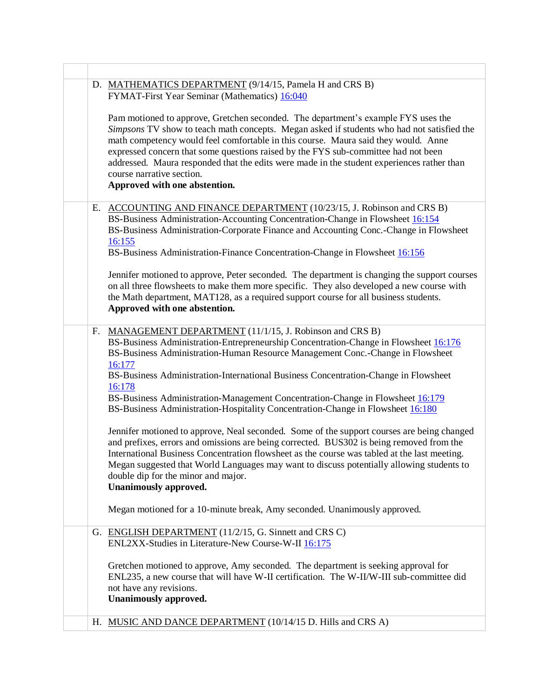|    | D. MATHEMATICS DEPARTMENT (9/14/15, Pamela H and CRS B)<br>FYMAT-First Year Seminar (Mathematics) 16:040<br>Pam motioned to approve, Gretchen seconded. The department's example FYS uses the<br>Simpsons TV show to teach math concepts. Megan asked if students who had not satisfied the<br>math competency would feel comfortable in this course. Maura said they would. Anne<br>expressed concern that some questions raised by the FYS sub-committee had not been<br>addressed. Maura responded that the edits were made in the student experiences rather than<br>course narrative section.<br>Approved with one abstention. |
|----|-------------------------------------------------------------------------------------------------------------------------------------------------------------------------------------------------------------------------------------------------------------------------------------------------------------------------------------------------------------------------------------------------------------------------------------------------------------------------------------------------------------------------------------------------------------------------------------------------------------------------------------|
|    |                                                                                                                                                                                                                                                                                                                                                                                                                                                                                                                                                                                                                                     |
| Е. | ACCOUNTING AND FINANCE DEPARTMENT (10/23/15, J. Robinson and CRS B)<br>BS-Business Administration-Accounting Concentration-Change in Flowsheet 16:154<br>BS-Business Administration-Corporate Finance and Accounting Conc.-Change in Flowsheet<br>16:155<br>BS-Business Administration-Finance Concentration-Change in Flowsheet 16:156<br>Jennifer motioned to approve, Peter seconded. The department is changing the support courses<br>on all three flowsheets to make them more specific. They also developed a new course with<br>the Math department, MAT128, as a required support course for all business students.        |
|    | Approved with one abstention.                                                                                                                                                                                                                                                                                                                                                                                                                                                                                                                                                                                                       |
| F. | MANAGEMENT DEPARTMENT (11/1/15, J. Robinson and CRS B)<br>BS-Business Administration-Entrepreneurship Concentration-Change in Flowsheet 16:176<br>BS-Business Administration-Human Resource Management Conc.-Change in Flowsheet<br>16:177<br>BS-Business Administration-International Business Concentration-Change in Flowsheet<br>16:178<br>BS-Business Administration-Management Concentration-Change in Flowsheet 16:179<br>BS-Business Administration-Hospitality Concentration-Change in Flowsheet 16:180                                                                                                                    |
|    | Jennifer motioned to approve, Neal seconded. Some of the support courses are being changed<br>and prefixes, errors and omissions are being corrected. BUS302 is being removed from the<br>International Business Concentration flowsheet as the course was tabled at the last meeting.<br>Megan suggested that World Languages may want to discuss potentially allowing students to<br>double dip for the minor and major.<br><b>Unanimously approved.</b><br>Megan motioned for a 10-minute break, Amy seconded. Unanimously approved.                                                                                             |
|    |                                                                                                                                                                                                                                                                                                                                                                                                                                                                                                                                                                                                                                     |
|    | G. ENGLISH DEPARTMENT (11/2/15, G. Sinnett and CRS C)<br>ENL2XX-Studies in Literature-New Course-W-II 16:175                                                                                                                                                                                                                                                                                                                                                                                                                                                                                                                        |
|    | Gretchen motioned to approve, Amy seconded. The department is seeking approval for<br>ENL235, a new course that will have W-II certification. The W-II/W-III sub-committee did<br>not have any revisions.<br><b>Unanimously approved.</b>                                                                                                                                                                                                                                                                                                                                                                                           |
|    | H. MUSIC AND DANCE DEPARTMENT (10/14/15 D. Hills and CRS A)                                                                                                                                                                                                                                                                                                                                                                                                                                                                                                                                                                         |
|    |                                                                                                                                                                                                                                                                                                                                                                                                                                                                                                                                                                                                                                     |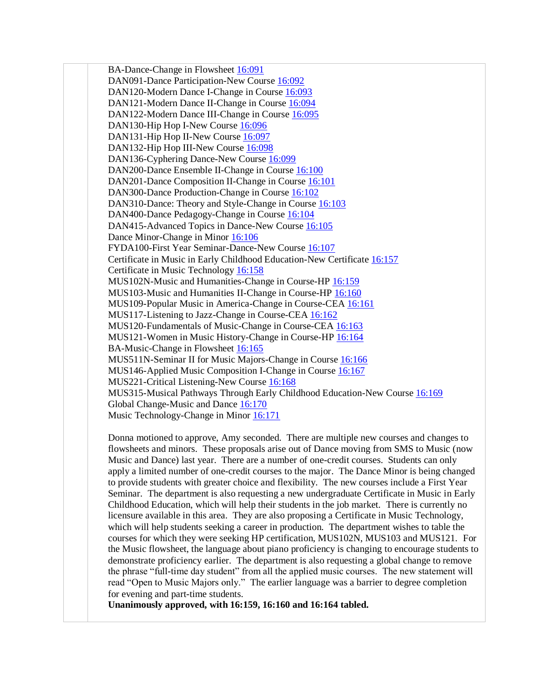BA-Dance-Change in Flowsheet [16:091](http://www.salemstate.edu/6780.php?trackingNum=16:091&search=all) DAN091-Dance Participation-New Course [16:092](http://www.salemstate.edu/6780.php?trackingNum=16:092&search=all) DAN120-Modern Dance I-Change in Course [16:093](http://www.salemstate.edu/6780.php?trackingNum=16:093&search=all) DAN121-Modern Dance II-Change in Course [16:094](http://www.salemstate.edu/6780.php?trackingNum=16:094&search=all) DAN122-Modern Dance III-Change in Course [16:095](http://www.salemstate.edu/6780.php?trackingNum=16:095&search=all) DAN130-Hip Hop I-New Course [16:096](http://www.salemstate.edu/6780.php?trackingNum=16:096&search=all) DAN131-Hip Hop II-New Course [16:097](http://www.salemstate.edu/6780.php?trackingNum=16:097&search=all) DAN132-Hip Hop III-New Course [16:098](http://www.salemstate.edu/6780.php?trackingNum=16:098&search=all) DAN136-Cyphering Dance-New Course [16:099](http://www.salemstate.edu/6780.php?trackingNum=16:099&search=all) DAN200-Dance Ensemble II-Change in Course [16:100](http://www.salemstate.edu/6780.php?trackingNum=16:100&search=all) DAN201-Dance Composition II-Change in Course [16:101](http://www.salemstate.edu/6780.php?trackingNum=16:101&search=all) DAN300-Dance Production-Change in Course [16:102](http://www.salemstate.edu/6780.php?trackingNum=16:102&search=all) DAN310-Dance: Theory and Style-Change in Course [16:103](http://www.salemstate.edu/6780.php?trackingNum=16:103&search=all) DAN400-Dance Pedagogy-Change in Course [16:104](http://www.salemstate.edu/6780.php?trackingNum=16:104&search=all) DAN415-Advanced Topics in Dance-New Course [16:105](http://www.salemstate.edu/6780.php?trackingNum=16:105&search=all) Dance Minor-Change in Minor [16:106](http://www.salemstate.edu/6780.php?trackingNum=16:106&search=all) FYDA100-First Year Seminar-Dance-New Course [16:107](http://www.salemstate.edu/6780.php?trackingNum=16:107&search=all) Certificate in Music in Early Childhood Education-New Certificate [16:157](http://www.salemstate.edu/6780.php?trackingNum=16:157&search=all) Certificate in Music Technology [16:158](http://www.salemstate.edu/6780.php?trackingNum=16:158&search=all) MUS102N-Music and Humanities-Change in Course-HP [16:159](http://www.salemstate.edu/6780.php?trackingNum=16:159&search=all) MUS103-Music and Humanities II-Change in Course-HP [16:160](http://www.salemstate.edu/6780.php?trackingNum=16:160&search=all) MUS109-Popular Music in America-Change in Course-CEA [16:161](http://www.salemstate.edu/6780.php?trackingNum=16:161&search=all) MUS117-Listening to Jazz-Change in Course-CEA [16:162](http://www.salemstate.edu/6780.php?trackingNum=16:162&search=all) MUS120-Fundamentals of Music-Change in Course-CEA [16:163](http://www.salemstate.edu/6780.php?trackingNum=16:163&search=all) MUS121-Women in Music History-Change in Course-H[P 16:164](http://www.salemstate.edu/6780.php?trackingNum=16:164&search=all) BA-Music-Change in Flowsheet [16:165](http://www.salemstate.edu/6780.php?trackingNum=16:165&search=all) MUS511N-Seminar II for Music Majors-Change in Course [16:166](http://www.salemstate.edu/6780.php?trackingNum=16:166&search=all) MUS146-Applied Music Composition I-Change in Course [16:167](http://www.salemstate.edu/6780.php?trackingNum=16:167&search=all) MUS221-Critical Listening-New Course [16:168](http://www.salemstate.edu/6780.php?trackingNum=16:168&search=all) MUS315-Musical Pathways Through Early Childhood Education-New Course [16:169](http://www.salemstate.edu/6780.php?trackingNum=16:169&search=all) Global Change-Music and Dance [16:170](http://www.salemstate.edu/6780.php?trackingNum=16:170&search=all) Music Technology-Change in Minor [16:171](http://www.salemstate.edu/6780.php?trackingNum=16:171&search=all)

Donna motioned to approve, Amy seconded. There are multiple new courses and changes to flowsheets and minors. These proposals arise out of Dance moving from SMS to Music (now Music and Dance) last year. There are a number of one-credit courses. Students can only apply a limited number of one-credit courses to the major. The Dance Minor is being changed to provide students with greater choice and flexibility. The new courses include a First Year Seminar. The department is also requesting a new undergraduate Certificate in Music in Early Childhood Education, which will help their students in the job market. There is currently no licensure available in this area. They are also proposing a Certificate in Music Technology, which will help students seeking a career in production. The department wishes to table the courses for which they were seeking HP certification, MUS102N, MUS103 and MUS121. For the Music flowsheet, the language about piano proficiency is changing to encourage students to demonstrate proficiency earlier. The department is also requesting a global change to remove the phrase "full-time day student" from all the applied music courses. The new statement will read "Open to Music Majors only." The earlier language was a barrier to degree completion for evening and part-time students.

**Unanimously approved, with 16:159, 16:160 and 16:164 tabled.**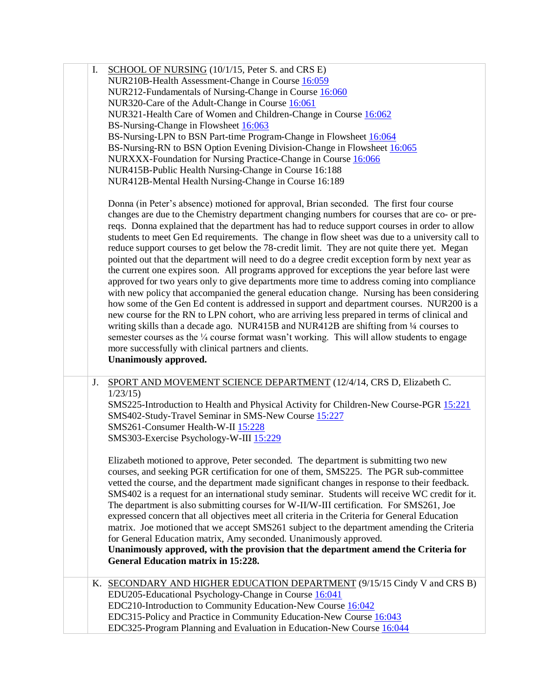| Ι. | SCHOOL OF NURSING (10/1/15, Peter S. and CRS E)<br>NUR210B-Health Assessment-Change in Course 16:059<br>NUR212-Fundamentals of Nursing-Change in Course 16:060<br>NUR320-Care of the Adult-Change in Course 16:061<br>NUR321-Health Care of Women and Children-Change in Course 16:062<br>BS-Nursing-Change in Flowsheet 16:063<br>BS-Nursing-LPN to BSN Part-time Program-Change in Flowsheet 16:064<br>BS-Nursing-RN to BSN Option Evening Division-Change in Flowsheet 16:065<br>NURXXX-Foundation for Nursing Practice-Change in Course 16:066<br>NUR415B-Public Health Nursing-Change in Course 16:188<br>NUR412B-Mental Health Nursing-Change in Course 16:189<br>Donna (in Peter's absence) motioned for approval, Brian seconded. The first four course<br>changes are due to the Chemistry department changing numbers for courses that are co- or pre-<br>reqs. Donna explained that the department has had to reduce support courses in order to allow<br>students to meet Gen Ed requirements. The change in flow sheet was due to a university call to<br>reduce support courses to get below the 78-credit limit. They are not quite there yet. Megan<br>pointed out that the department will need to do a degree credit exception form by next year as<br>the current one expires soon. All programs approved for exceptions the year before last were<br>approved for two years only to give departments more time to address coming into compliance<br>with new policy that accompanied the general education change. Nursing has been considering<br>how some of the Gen Ed content is addressed in support and department courses. NUR200 is a<br>new course for the RN to LPN cohort, who are arriving less prepared in terms of clinical and<br>writing skills than a decade ago. NUR415B and NUR412B are shifting from 1/4 courses to<br>semester courses as the 1/4 course format wasn't working. This will allow students to engage<br>more successfully with clinical partners and clients.<br><b>Unanimously approved.</b> |
|----|------------------------------------------------------------------------------------------------------------------------------------------------------------------------------------------------------------------------------------------------------------------------------------------------------------------------------------------------------------------------------------------------------------------------------------------------------------------------------------------------------------------------------------------------------------------------------------------------------------------------------------------------------------------------------------------------------------------------------------------------------------------------------------------------------------------------------------------------------------------------------------------------------------------------------------------------------------------------------------------------------------------------------------------------------------------------------------------------------------------------------------------------------------------------------------------------------------------------------------------------------------------------------------------------------------------------------------------------------------------------------------------------------------------------------------------------------------------------------------------------------------------------------------------------------------------------------------------------------------------------------------------------------------------------------------------------------------------------------------------------------------------------------------------------------------------------------------------------------------------------------------------------------------------------------------------------------------------------------------------------------------------------------------------------------|
| J. | SPORT AND MOVEMENT SCIENCE DEPARTMENT (12/4/14, CRS D, Elizabeth C.<br>1/23/15<br>SMS225-Introduction to Health and Physical Activity for Children-New Course-PGR 15:221<br>SMS402-Study-Travel Seminar in SMS-New Course 15:227<br>SMS261-Consumer Health-W-II 15:228<br>SMS303-Exercise Psychology-W-III 15:229<br>Elizabeth motioned to approve, Peter seconded. The department is submitting two new<br>courses, and seeking PGR certification for one of them, SMS225. The PGR sub-committee<br>vetted the course, and the department made significant changes in response to their feedback.<br>SMS402 is a request for an international study seminar. Students will receive WC credit for it.<br>The department is also submitting courses for W-II/W-III certification. For SMS261, Joe<br>expressed concern that all objectives meet all criteria in the Criteria for General Education<br>matrix. Joe motioned that we accept SMS261 subject to the department amending the Criteria<br>for General Education matrix, Amy seconded. Unanimously approved.<br>Unanimously approved, with the provision that the department amend the Criteria for<br><b>General Education matrix in 15:228.</b>                                                                                                                                                                                                                                                                                                                                                                                                                                                                                                                                                                                                                                                                                                                                                                                                                                            |
|    | K. SECONDARY AND HIGHER EDUCATION DEPARTMENT (9/15/15 Cindy V and CRS B)<br>EDU205-Educational Psychology-Change in Course 16:041<br>EDC210-Introduction to Community Education-New Course 16:042<br>EDC315-Policy and Practice in Community Education-New Course 16:043<br>EDC325-Program Planning and Evaluation in Education-New Course 16:044                                                                                                                                                                                                                                                                                                                                                                                                                                                                                                                                                                                                                                                                                                                                                                                                                                                                                                                                                                                                                                                                                                                                                                                                                                                                                                                                                                                                                                                                                                                                                                                                                                                                                                    |